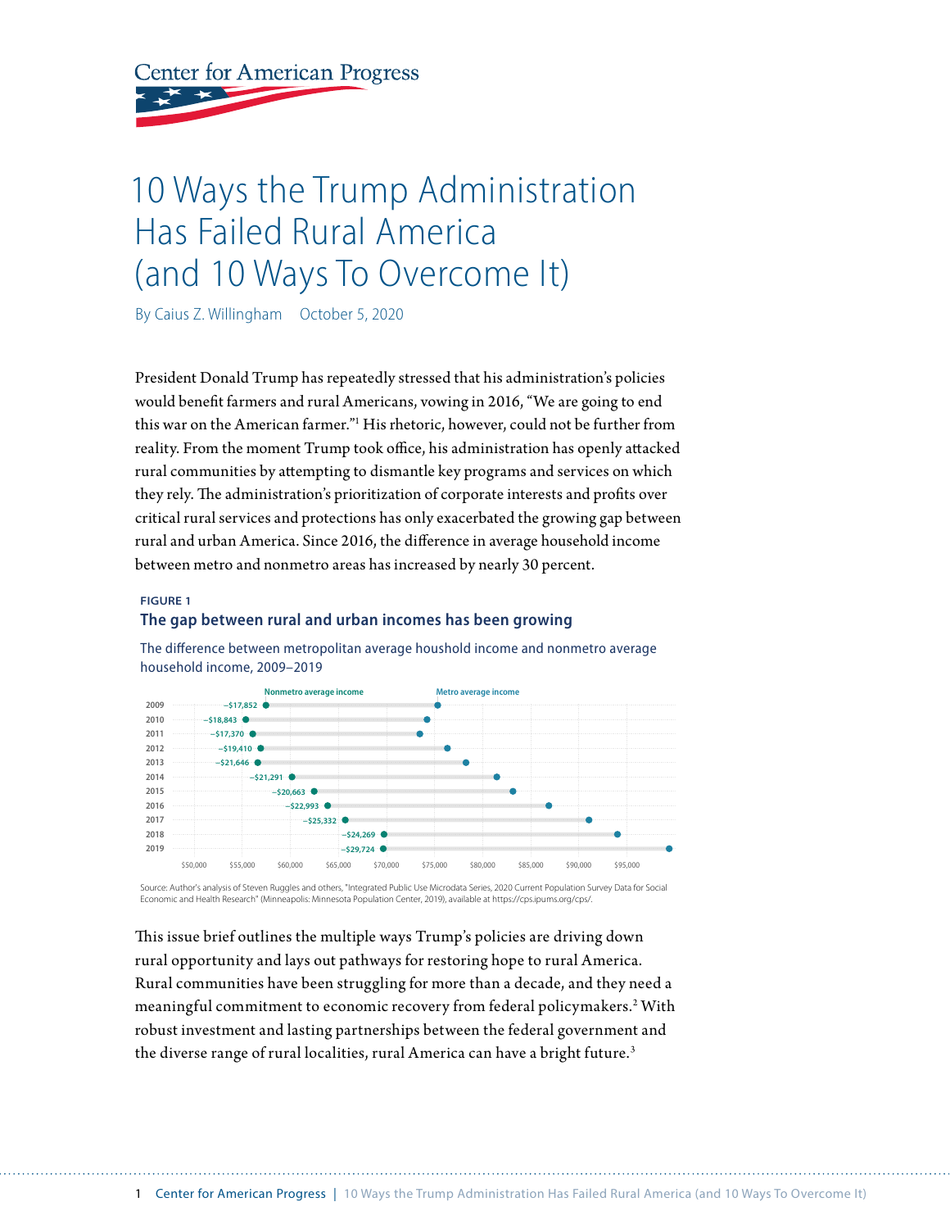**Center for American Progress** 

# 10 Ways the Trump Administration Has Failed Rural America (and 10 Ways To Overcome It)

By Caius Z. Willingham October 5, 2020

President Donald Trump has repeatedly stressed that his administration's policies would benefit farmers and rural Americans, vowing in 2016, "We are going to end this war on the American farmer."1 His rhetoric, however, could not be further from reality. From the moment Trump took office, his administration has openly attacked rural communities by attempting to dismantle key programs and services on which they rely. The administration's prioritization of corporate interests and profits over critical rural services and protections has only exacerbated the growing gap between rural and urban America. Since 2016, the difference in average household income between metro and nonmetro areas has increased by nearly 30 percent.

#### **FIGURE 1**

#### **The gap between rural and urban incomes has been growing**



The difference between metropolitan average houshold income and nonmetro average household income, 2009–2019

Source: Author's analysis of Steven Ruggles and others, "Integrated Public Use Microdata Series, 2020 Current Population Survey Data for Social Economic and Health Research" (Minneapolis: Minnesota Population Center, 2019), available at https://cps.ipums.org/cps/.

This issue brief outlines the multiple ways Trump's policies are driving down rural opportunity and lays out pathways for restoring hope to rural America. Rural communities have been struggling for more than a decade, and they need a meaningful commitment to economic recovery from federal policymakers.<sup>2</sup> With robust investment and lasting partnerships between the federal government and the diverse range of rural localities, rural America can have a bright future.<sup>3</sup>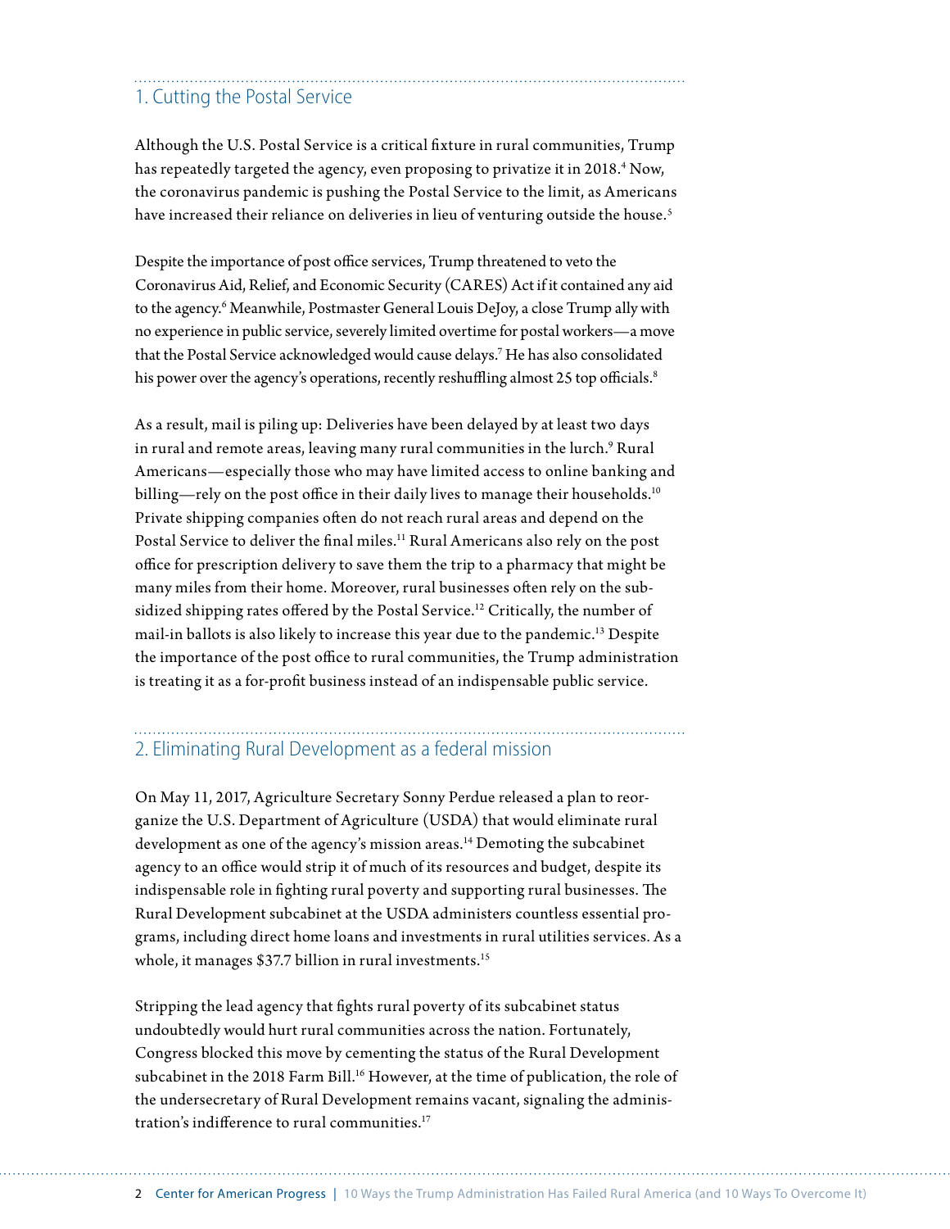### 1. Cutting the Postal Service

Although the U.S. Postal Service is a critical fixture in rural communities, Trump has repeatedly targeted the agency, even proposing to privatize it in 2018.<sup>4</sup> Now, the coronavirus pandemic is pushing the Postal Service to the limit, as Americans have increased their reliance on deliveries in lieu of venturing outside the house.<sup>5</sup>

Despite the importance of post office services, Trump threatened to veto the Coronavirus Aid, Relief, and Economic Security (CARES) Act if it contained any aid to the agency.6 Meanwhile, Postmaster General Louis DeJoy, a close Trump ally with no experience in public service, severely limited overtime for postal workers—a move that the Postal Service acknowledged would cause delays.7 He has also consolidated his power over the agency's operations, recently reshuffling almost 25 top officials.<sup>8</sup>

As a result, mail is piling up: Deliveries have been delayed by at least two days in rural and remote areas, leaving many rural communities in the lurch. $^9$  Rural Americans—especially those who may have limited access to online banking and billing—rely on the post office in their daily lives to manage their households.<sup>10</sup> Private shipping companies often do not reach rural areas and depend on the Postal Service to deliver the final miles.<sup>11</sup> Rural Americans also rely on the post office for prescription delivery to save them the trip to a pharmacy that might be many miles from their home. Moreover, rural businesses often rely on the subsidized shipping rates offered by the Postal Service.<sup>12</sup> Critically, the number of mail-in ballots is also likely to increase this year due to the pandemic.13 Despite the importance of the post office to rural communities, the Trump administration is treating it as a for-profit business instead of an indispensable public service.

## 2. Eliminating Rural Development as a federal mission

On May 11, 2017, Agriculture Secretary Sonny Perdue released a plan to reorganize the U.S. Department of Agriculture (USDA) that would eliminate rural development as one of the agency's mission areas.<sup>14</sup> Demoting the subcabinet agency to an office would strip it of much of its resources and budget, despite its indispensable role in fighting rural poverty and supporting rural businesses. The Rural Development subcabinet at the USDA administers countless essential programs, including direct home loans and investments in rural utilities services. As a whole, it manages \$37.7 billion in rural investments.<sup>15</sup>

Stripping the lead agency that fights rural poverty of its subcabinet status undoubtedly would hurt rural communities across the nation. Fortunately, Congress blocked this move by cementing the status of the Rural Development subcabinet in the 2018 Farm Bill.<sup>16</sup> However, at the time of publication, the role of the undersecretary of Rural Development remains vacant, signaling the administration's indifference to rural communities. 17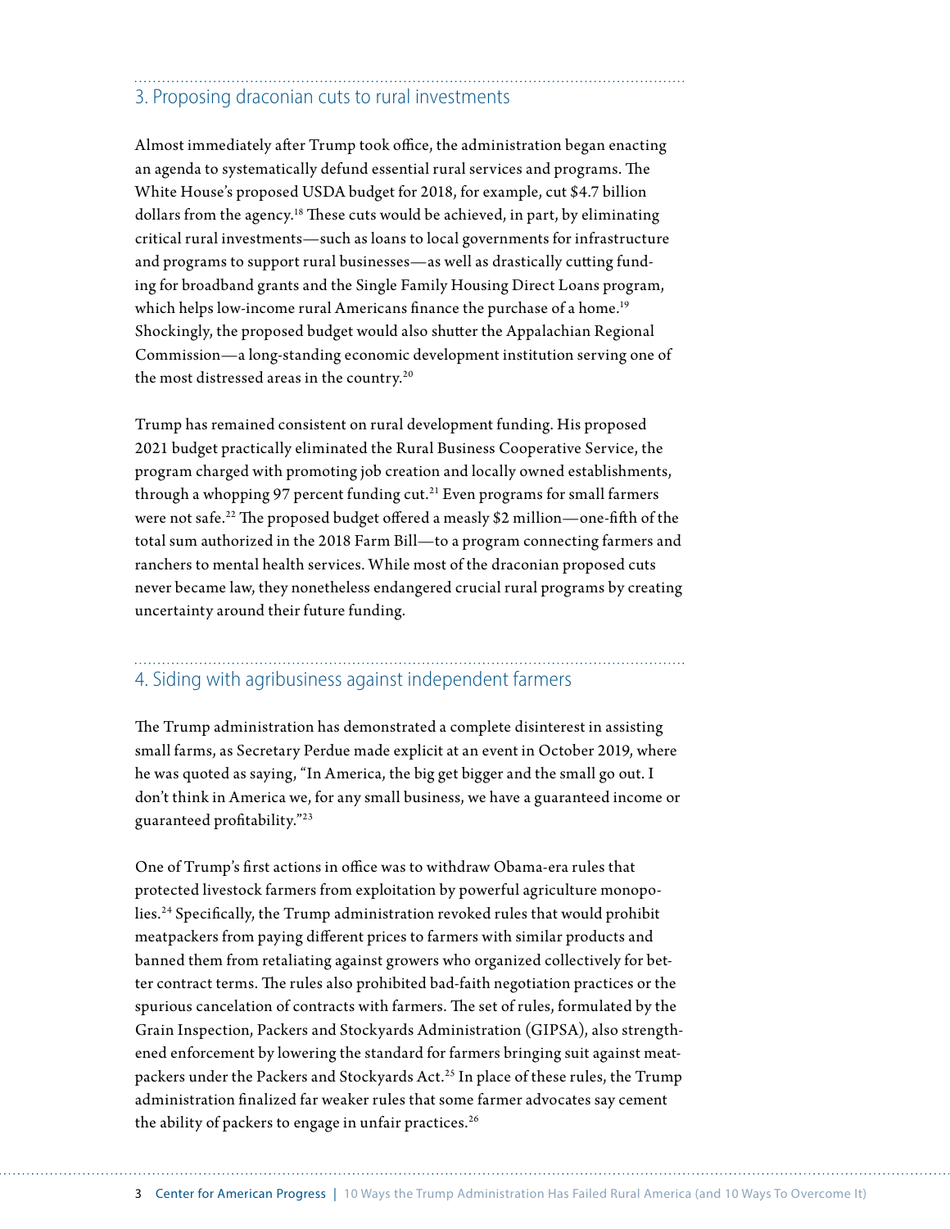## 3. Proposing draconian cuts to rural investments

Almost immediately after Trump took office, the administration began enacting an agenda to systematically defund essential rural services and programs. The White House's proposed USDA budget for 2018, for example, cut \$4.7 billion dollars from the agency.<sup>18</sup> These cuts would be achieved, in part, by eliminating critical rural investments—such as loans to local governments for infrastructure and programs to support rural businesses—as well as drastically cutting funding for broadband grants and the Single Family Housing Direct Loans program, which helps low-income rural Americans finance the purchase of a home.<sup>19</sup> Shockingly, the proposed budget would also shutter the Appalachian Regional Commission—a long-standing economic development institution serving one of the most distressed areas in the country.<sup>20</sup>

Trump has remained consistent on rural development funding. His proposed 2021 budget practically eliminated the Rural Business Cooperative Service, the program charged with promoting job creation and locally owned establishments, through a whopping 97 percent funding cut.<sup>21</sup> Even programs for small farmers were not safe.22 The proposed budget offered a measly \$2 million—one-fifth of the total sum authorized in the 2018 Farm Bill—to a program connecting farmers and ranchers to mental health services. While most of the draconian proposed cuts never became law, they nonetheless endangered crucial rural programs by creating uncertainty around their future funding.

### 4. Siding with agribusiness against independent farmers

The Trump administration has demonstrated a complete disinterest in assisting small farms, as Secretary Perdue made explicit at an event in October 2019, where he was quoted as saying, "In America, the big get bigger and the small go out. I don't think in America we, for any small business, we have a guaranteed income or guaranteed profitability."23

One of Trump's first actions in office was to withdraw Obama-era rules that protected livestock farmers from exploitation by powerful agriculture monopolies.24 Specifically, the Trump administration revoked rules that would prohibit meatpackers from paying different prices to farmers with similar products and banned them from retaliating against growers who organized collectively for better contract terms. The rules also prohibited bad-faith negotiation practices or the spurious cancelation of contracts with farmers. The set of rules, formulated by the Grain Inspection, Packers and Stockyards Administration (GIPSA), also strengthened enforcement by lowering the standard for farmers bringing suit against meatpackers under the Packers and Stockyards Act.25 In place of these rules, the Trump administration finalized far weaker rules that some farmer advocates say cement the ability of packers to engage in unfair practices.<sup>26</sup>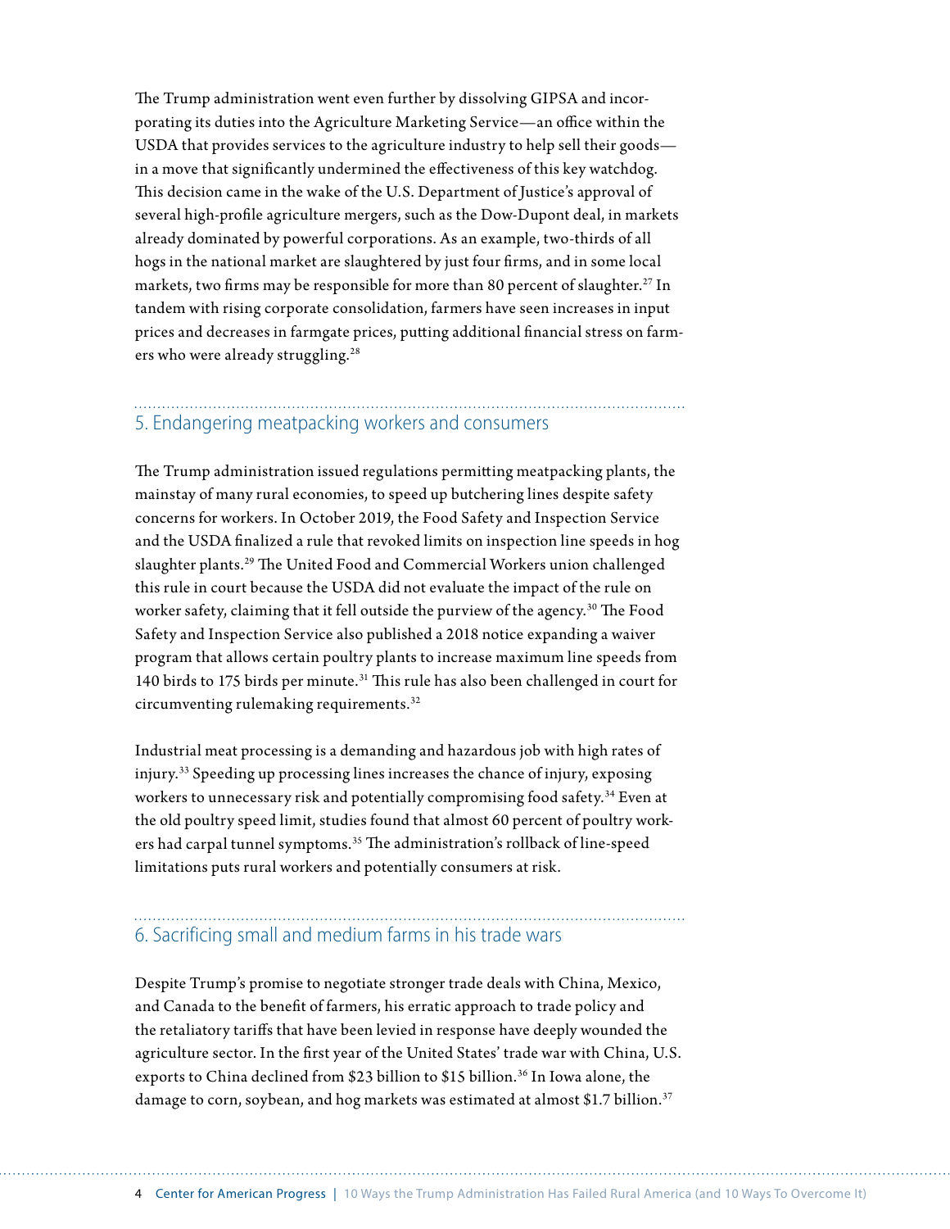The Trump administration went even further by dissolving GIPSA and incorporating its duties into the Agriculture Marketing Service—an office within the USDA that provides services to the agriculture industry to help sell their goods in a move that significantly undermined the effectiveness of this key watchdog. This decision came in the wake of the U.S. Department of Justice's approval of several high-profile agriculture mergers, such as the Dow-Dupont deal, in markets already dominated by powerful corporations. As an example, two-thirds of all hogs in the national market are slaughtered by just four firms, and in some local markets, two firms may be responsible for more than 80 percent of slaughter.<sup>27</sup> In tandem with rising corporate consolidation, farmers have seen increases in input prices and decreases in farmgate prices, putting additional financial stress on farmers who were already struggling.<sup>28</sup>

### 5. Endangering meatpacking workers and consumers

The Trump administration issued regulations permitting meatpacking plants, the mainstay of many rural economies, to speed up butchering lines despite safety concerns for workers. In October 2019, the Food Safety and Inspection Service and the USDA finalized a rule that revoked limits on inspection line speeds in hog slaughter plants.29 The United Food and Commercial Workers union challenged this rule in court because the USDA did not evaluate the impact of the rule on worker safety, claiming that it fell outside the purview of the agency.<sup>30</sup> The Food Safety and Inspection Service also published a 2018 notice expanding a waiver program that allows certain poultry plants to increase maximum line speeds from 140 birds to 175 birds per minute.31 This rule has also been challenged in court for circumventing rulemaking requirements.32

Industrial meat processing is a demanding and hazardous job with high rates of injury.33 Speeding up processing lines increases the chance of injury, exposing workers to unnecessary risk and potentially compromising food safety.34 Even at the old poultry speed limit, studies found that almost 60 percent of poultry workers had carpal tunnel symptoms.<sup>35</sup> The administration's rollback of line-speed limitations puts rural workers and potentially consumers at risk.

### 6. Sacrificing small and medium farms in his trade wars

Despite Trump's promise to negotiate stronger trade deals with China, Mexico, and Canada to the benefit of farmers, his erratic approach to trade policy and the retaliatory tariffs that have been levied in response have deeply wounded the agriculture sector. In the first year of the United States' trade war with China, U.S. exports to China declined from \$23 billion to \$15 billion.<sup>36</sup> In Iowa alone, the damage to corn, soybean, and hog markets was estimated at almost \$1.7 billion.<sup>37</sup>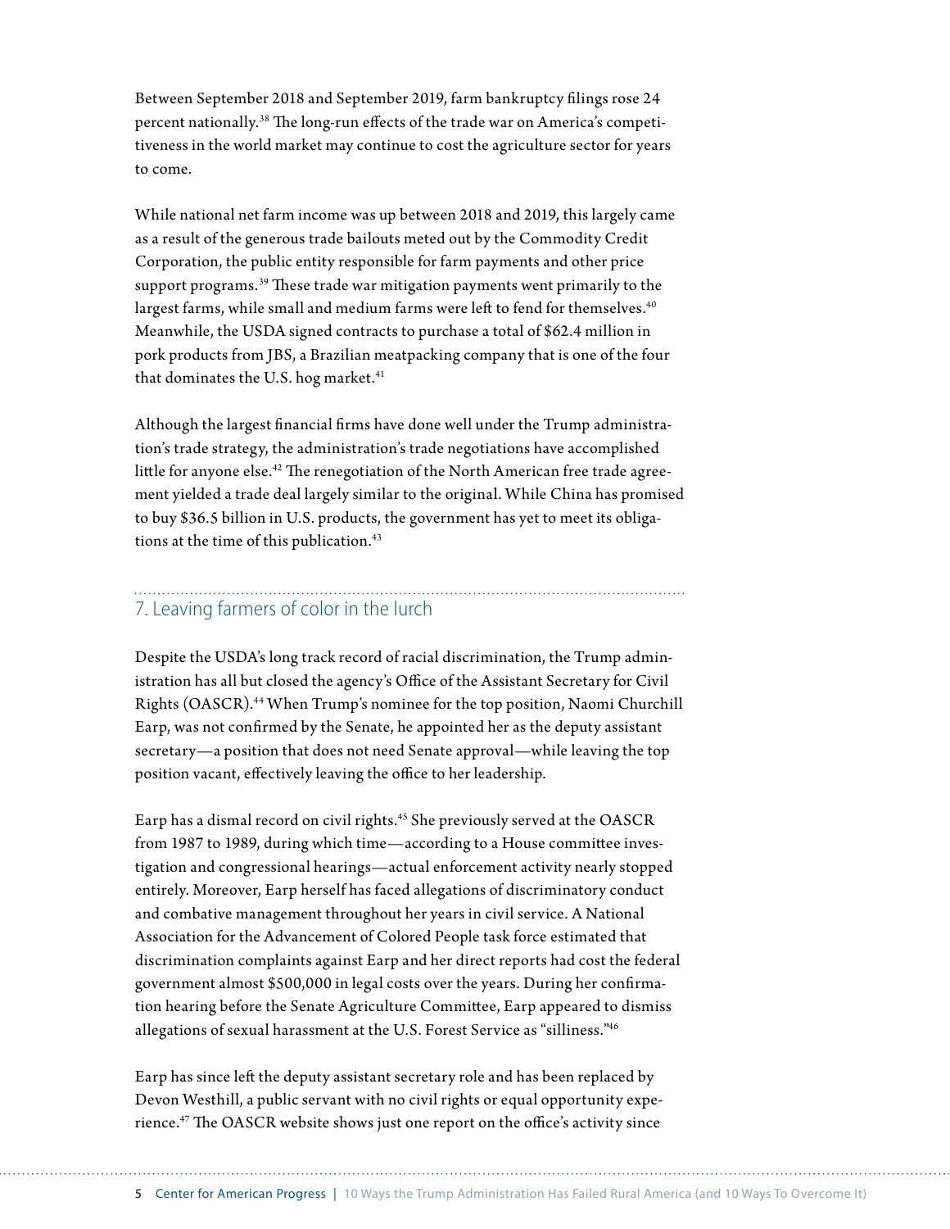Between September 2018 and September 2019, farm bankruptcy filings rose 24 percent nationally. 38 The long-run effects of the trade war on America's competitiveness in the world market may continue to cost the agriculture sector for years to come.

While national net farm income was up between 2018 and 2019, this largely came as a result of the generous trade bailouts meted out by the Commodity Credit Corporation, the public entity responsible for farm payments and other price support programs.<sup>39</sup> These trade war mitigation payments went primarily to the largest farms, while small and medium farms were left to fend for themselves.<sup>40</sup> Meanwhile, the USDA signed contracts to purchase a total of \$62.4 million in pork products from JBS, a Brazilian meatpacking company that is one of the four that dominates the U.S. hog market.<sup>41</sup>

Although the largest financial firms have done well under the Trump administration's trade strategy, the administration's trade negotiations have accomplished little for anyone else.<sup>42</sup> The renegotiation of the North American free trade agreement yielded a trade deal largely similar to the original. While China has promised to buy \$36.5 billion in U.S. products, the government has yet to meet its obligations at the time of this publication.<sup>43</sup>

#### 7. Leaving farmers of color in the lurch

Despite the USDA's long track record of racial discrimination, the Trump administration has all but closed the agency's Office of the Assistant Secretary for Civil Rights (OASCR).44 When Trump's nominee for the top position, Naomi Churchill Earp, was not confirmed by the Senate, he appointed her as the deputy assistant secretary—a position that does not need Senate approval—while leaving the top position vacant, effectively leaving the office to her leadership.

Earp has a dismal record on civil rights.<sup>45</sup> She previously served at the OASCR from 1987 to 1989, during which time—according to a House committee investigation and congressional hearings—actual enforcement activity nearly stopped entirely. Moreover, Earp herself has faced allegations of discriminatory conduct and combative management throughout her years in civil service. A National Association for the Advancement of Colored People task force estimated that discrimination complaints against Earp and her direct reports had cost the federal government almost \$500,000 in legal costs over the years. During her confirmation hearing before the Senate Agriculture Committee, Earp appeared to dismiss allegations of sexual harassment at the U.S. Forest Service as "silliness."46

Earp has since left the deputy assistant secretary role and has been replaced by Devon Westhill, a public servant with no civil rights or equal opportunity experience.47 The OASCR website shows just one report on the office's activity since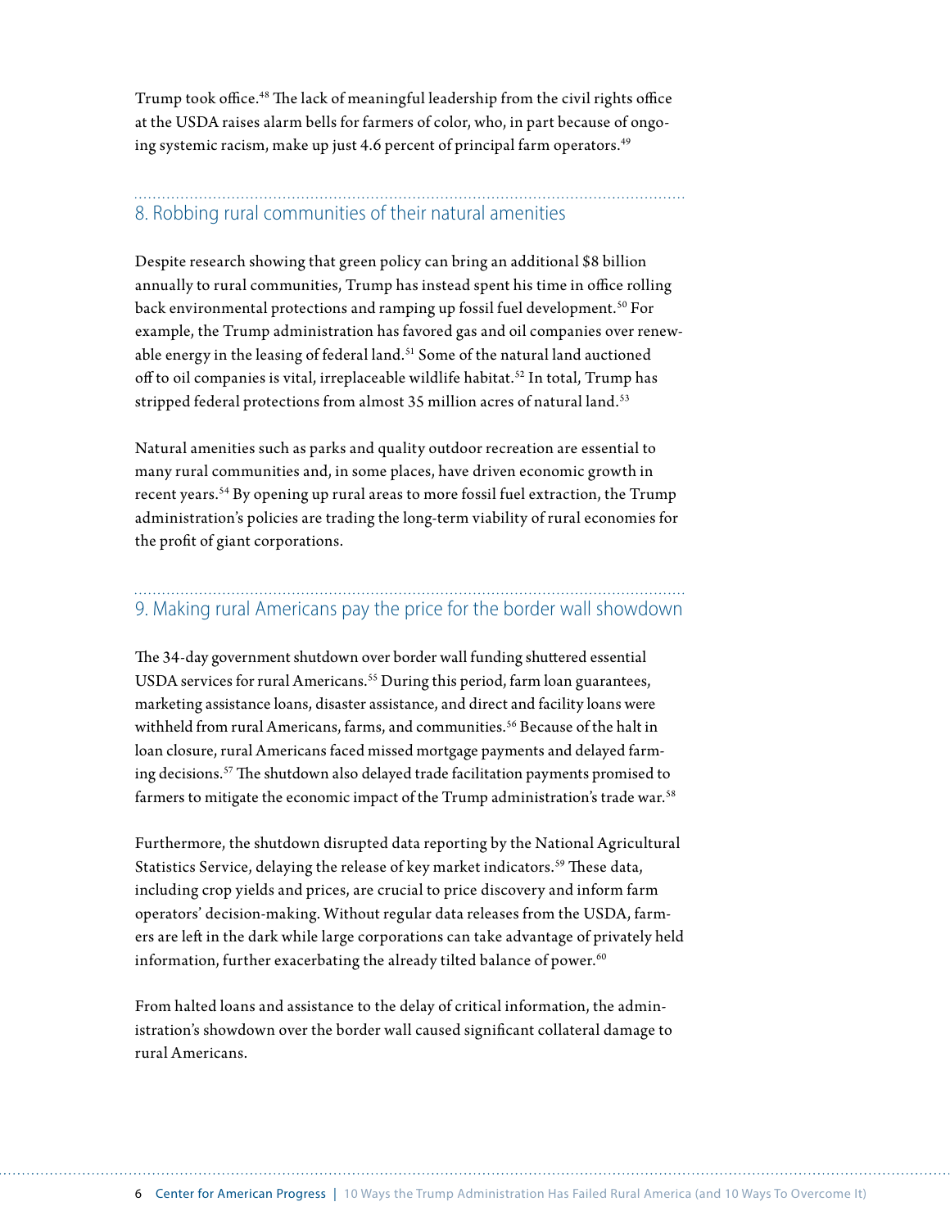Trump took office.<sup>48</sup> The lack of meaningful leadership from the civil rights office at the USDA raises alarm bells for farmers of color, who, in part because of ongoing systemic racism, make up just 4.6 percent of principal farm operators.<sup>49</sup>

### 8. Robbing rural communities of their natural amenities

Despite research showing that green policy can bring an additional \$8 billion annually to rural communities, Trump has instead spent his time in office rolling back environmental protections and ramping up fossil fuel development.<sup>50</sup> For example, the Trump administration has favored gas and oil companies over renewable energy in the leasing of federal land.<sup>51</sup> Some of the natural land auctioned off to oil companies is vital, irreplaceable wildlife habitat.<sup>52</sup> In total, Trump has stripped federal protections from almost 35 million acres of natural land.<sup>53</sup>

Natural amenities such as parks and quality outdoor recreation are essential to many rural communities and, in some places, have driven economic growth in recent years.54 By opening up rural areas to more fossil fuel extraction, the Trump administration's policies are trading the long-term viability of rural economies for the profit of giant corporations.

## 9. Making rural Americans pay the price for the border wall showdown

The 34-day government shutdown over border wall funding shuttered essential USDA services for rural Americans.<sup>55</sup> During this period, farm loan guarantees, marketing assistance loans, disaster assistance, and direct and facility loans were withheld from rural Americans, farms, and communities.<sup>56</sup> Because of the halt in loan closure, rural Americans faced missed mortgage payments and delayed farming decisions.57 The shutdown also delayed trade facilitation payments promised to farmers to mitigate the economic impact of the Trump administration's trade war.<sup>58</sup>

Furthermore, the shutdown disrupted data reporting by the National Agricultural Statistics Service, delaying the release of key market indicators.<sup>59</sup> These data, including crop yields and prices, are crucial to price discovery and inform farm operators' decision-making. Without regular data releases from the USDA, farmers are left in the dark while large corporations can take advantage of privately held information, further exacerbating the already tilted balance of power.<sup>60</sup>

From halted loans and assistance to the delay of critical information, the administration's showdown over the border wall caused significant collateral damage to rural Americans.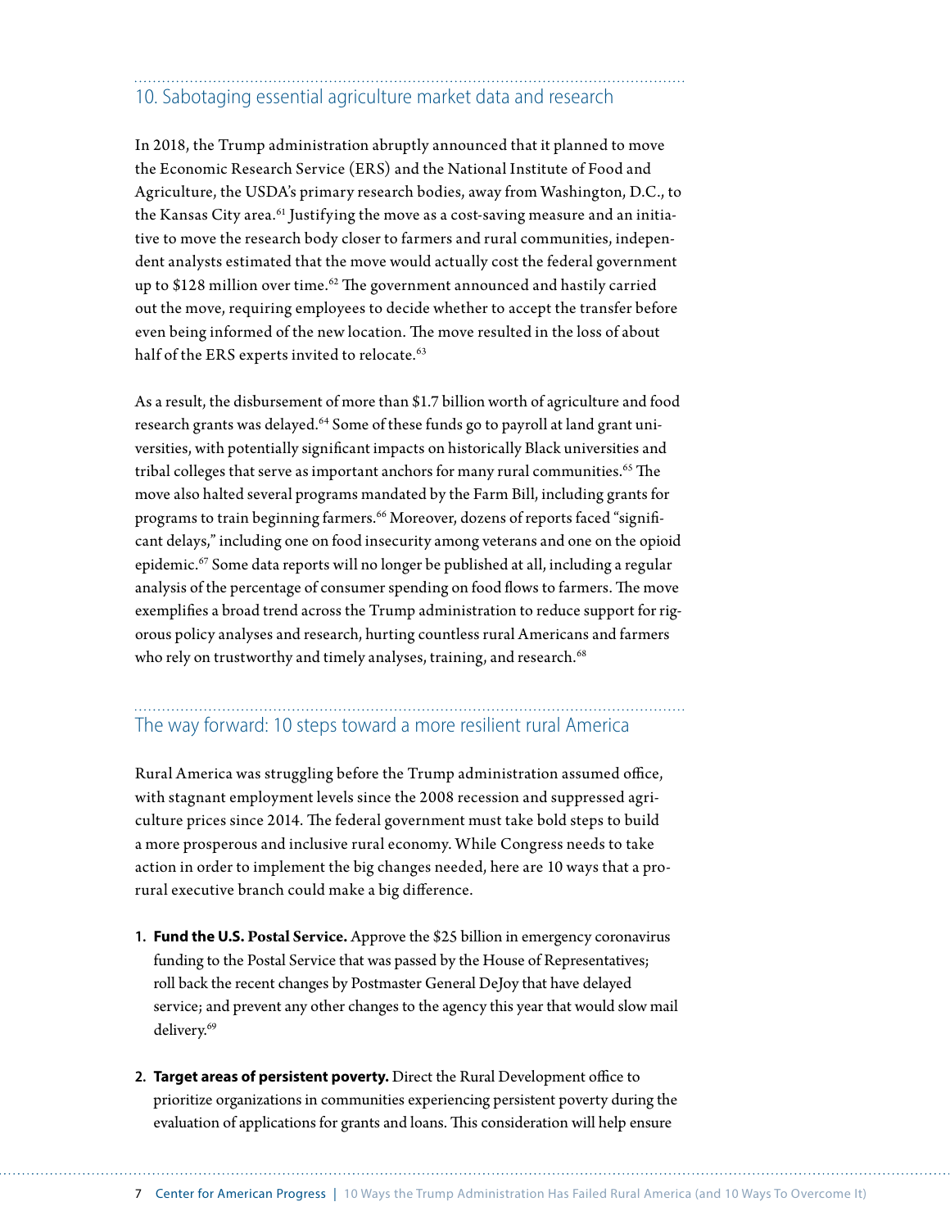## 10. Sabotaging essential agriculture market data and research

In 2018, the Trump administration abruptly announced that it planned to move the Economic Research Service (ERS) and the National Institute of Food and Agriculture, the USDA's primary research bodies, away from Washington, D.C., to the Kansas City area.<sup>61</sup> Justifying the move as a cost-saving measure and an initiative to move the research body closer to farmers and rural communities, independent analysts estimated that the move would actually cost the federal government up to  $$128$  million over time.<sup>62</sup> The government announced and hastily carried out the move, requiring employees to decide whether to accept the transfer before even being informed of the new location. The move resulted in the loss of about half of the ERS experts invited to relocate.<sup>63</sup>

As a result, the disbursement of more than \$1.7 billion worth of agriculture and food research grants was delayed.<sup>64</sup> Some of these funds go to payroll at land grant universities, with potentially significant impacts on historically Black universities and tribal colleges that serve as important anchors for many rural communities.<sup>65</sup> The move also halted several programs mandated by the Farm Bill, including grants for programs to train beginning farmers.<sup>66</sup> Moreover, dozens of reports faced "significant delays," including one on food insecurity among veterans and one on the opioid epidemic.67 Some data reports will no longer be published at all, including a regular analysis of the percentage of consumer spending on food flows to farmers. The move exemplifies a broad trend across the Trump administration to reduce support for rigorous policy analyses and research, hurting countless rural Americans and farmers who rely on trustworthy and timely analyses, training, and research.<sup>68</sup>

## The way forward: 10 steps toward a more resilient rural America

Rural America was struggling before the Trump administration assumed office, with stagnant employment levels since the 2008 recession and suppressed agriculture prices since 2014. The federal government must take bold steps to build a more prosperous and inclusive rural economy. While Congress needs to take action in order to implement the big changes needed, here are 10 ways that a prorural executive branch could make a big difference.

- **1. Fund the U.S. Postal Service.** Approve the \$25 billion in emergency coronavirus funding to the Postal Service that was passed by the House of Representatives; roll back the recent changes by Postmaster General DeJoy that have delayed service; and prevent any other changes to the agency this year that would slow mail delivery.<sup>69</sup>
- **2. Target areas of persistent poverty.** Direct the Rural Development office to prioritize organizations in communities experiencing persistent poverty during the evaluation of applications for grants and loans. This consideration will help ensure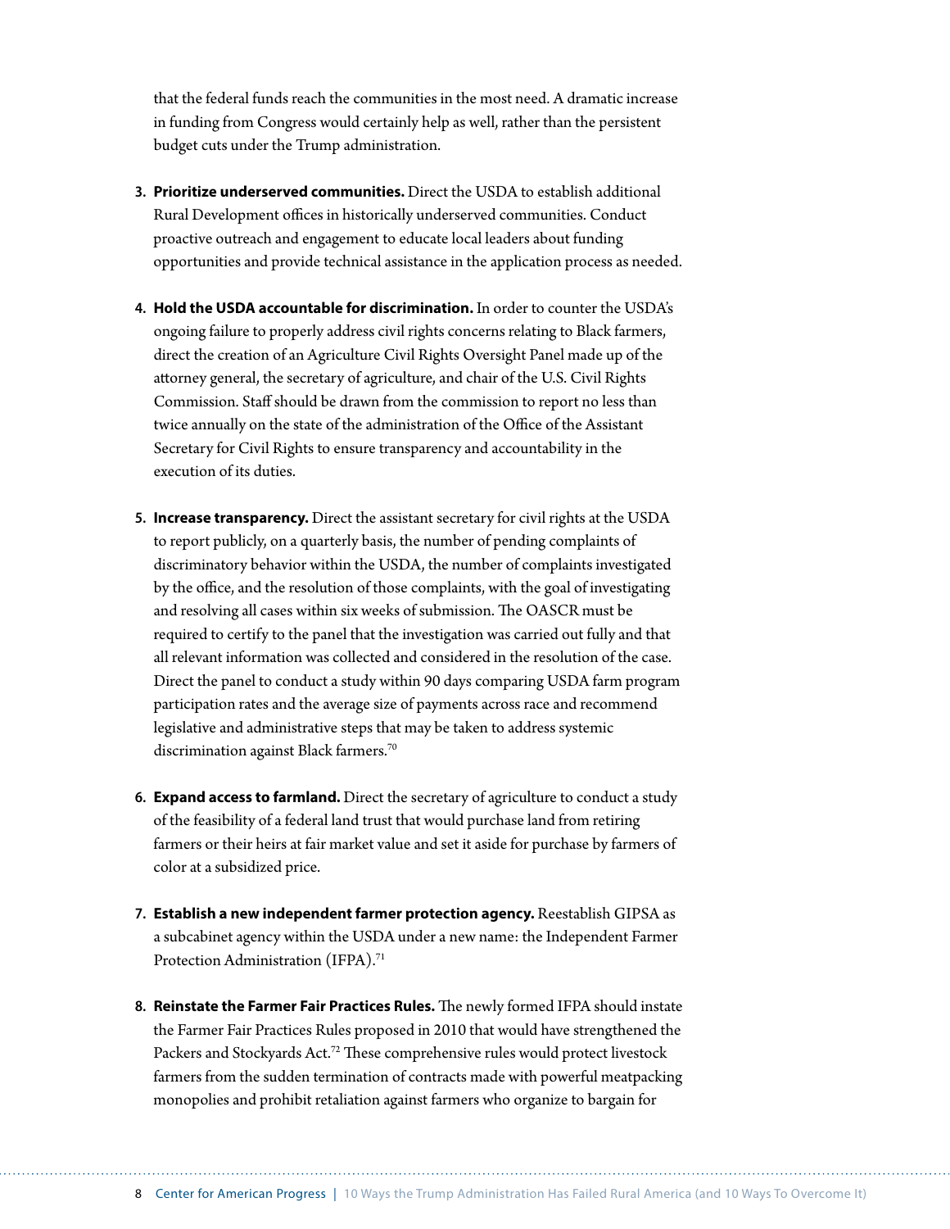that the federal funds reach the communities in the most need. A dramatic increase in funding from Congress would certainly help as well, rather than the persistent budget cuts under the Trump administration.

- **3. Prioritize underserved communities.** Direct the USDA to establish additional Rural Development offices in historically underserved communities. Conduct proactive outreach and engagement to educate local leaders about funding opportunities and provide technical assistance in the application process as needed.
- **4. Hold the USDA accountable for discrimination.** In order to counter the USDA's ongoing failure to properly address civil rights concerns relating to Black farmers, direct the creation of an Agriculture Civil Rights Oversight Panel made up of the attorney general, the secretary of agriculture, and chair of the U.S. Civil Rights Commission. Staff should be drawn from the commission to report no less than twice annually on the state of the administration of the Office of the Assistant Secretary for Civil Rights to ensure transparency and accountability in the execution of its duties.
- **5. Increase transparency.** Direct the assistant secretary for civil rights at the USDA to report publicly, on a quarterly basis, the number of pending complaints of discriminatory behavior within the USDA, the number of complaints investigated by the office, and the resolution of those complaints, with the goal of investigating and resolving all cases within six weeks of submission. The OASCR must be required to certify to the panel that the investigation was carried out fully and that all relevant information was collected and considered in the resolution of the case. Direct the panel to conduct a study within 90 days comparing USDA farm program participation rates and the average size of payments across race and recommend legislative and administrative steps that may be taken to address systemic discrimination against Black farmers.<sup>70</sup>
- **6. Expand access to farmland.** Direct the secretary of agriculture to conduct a study of the feasibility of a federal land trust that would purchase land from retiring farmers or their heirs at fair market value and set it aside for purchase by farmers of color at a subsidized price.
- **7. Establish a new independent farmer protection agency.** Reestablish GIPSA as a subcabinet agency within the USDA under a new name: the Independent Farmer Protection Administration (IFPA).<sup>71</sup>
- **8. Reinstate the Farmer Fair Practices Rules.** The newly formed IFPA should instate the Farmer Fair Practices Rules proposed in 2010 that would have strengthened the Packers and Stockyards Act.<sup>72</sup> These comprehensive rules would protect livestock farmers from the sudden termination of contracts made with powerful meatpacking monopolies and prohibit retaliation against farmers who organize to bargain for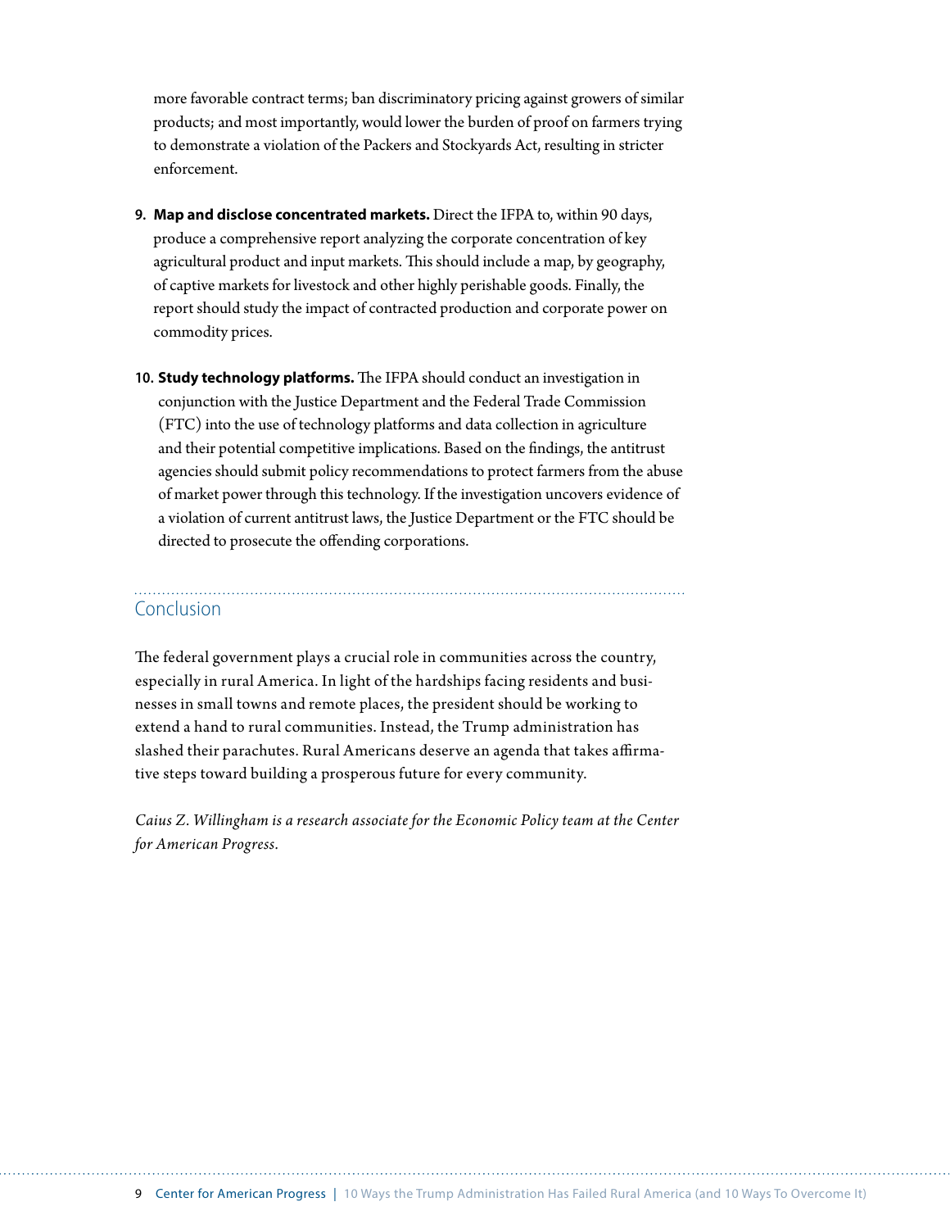more favorable contract terms; ban discriminatory pricing against growers of similar products; and most importantly, would lower the burden of proof on farmers trying to demonstrate a violation of the Packers and Stockyards Act, resulting in stricter enforcement.

- **9. Map and disclose concentrated markets.** Direct the IFPA to, within 90 days, produce a comprehensive report analyzing the corporate concentration of key agricultural product and input markets. This should include a map, by geography, of captive markets for livestock and other highly perishable goods. Finally, the report should study the impact of contracted production and corporate power on commodity prices.
- **10. Study technology platforms.** The IFPA should conduct an investigation in conjunction with the Justice Department and the Federal Trade Commission (FTC) into the use of technology platforms and data collection in agriculture and their potential competitive implications. Based on the findings, the antitrust agencies should submit policy recommendations to protect farmers from the abuse of market power through this technology. If the investigation uncovers evidence of a violation of current antitrust laws, the Justice Department or the FTC should be directed to prosecute the offending corporations.

### Conclusion

The federal government plays a crucial role in communities across the country, especially in rural America. In light of the hardships facing residents and businesses in small towns and remote places, the president should be working to extend a hand to rural communities. Instead, the Trump administration has slashed their parachutes. Rural Americans deserve an agenda that takes affirmative steps toward building a prosperous future for every community.

*Caius Z. Willingham is a research associate for the Economic Policy team at the Center for American Progress.*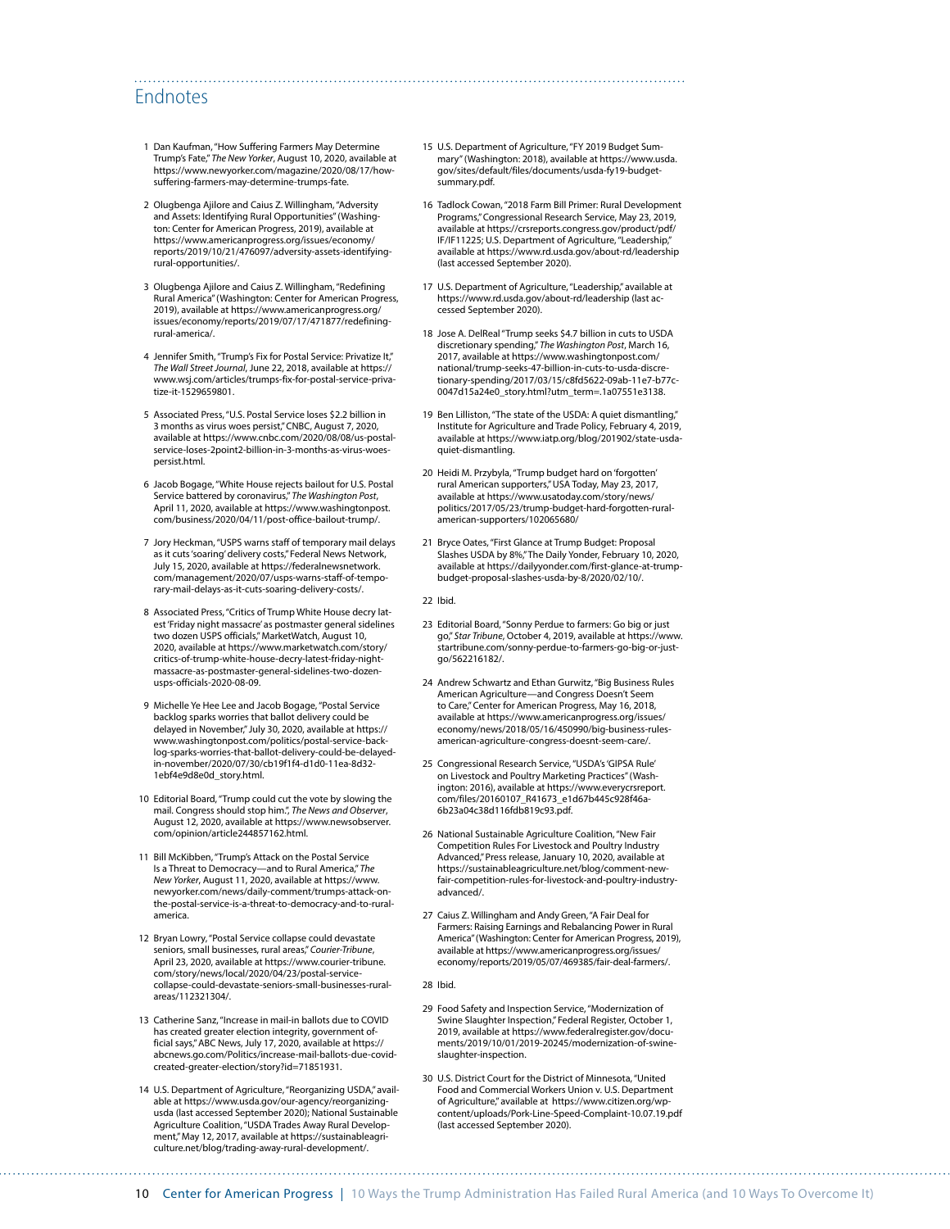### Endnotes

- 1 Dan Kaufman, "How Suffering Farmers May Determine Trump's Fate," *The New Yorker*, August 10, 2020, available at [https://www.newyorker.com/magazine/2020/08/17/how](https://www.newyorker.com/magazine/2020/08/17/how-suffering-farmers-may-determine-trumps-fate)[suffering-farmers-may-determine-trumps-fate.](https://www.newyorker.com/magazine/2020/08/17/how-suffering-farmers-may-determine-trumps-fate)
- 2 Olugbenga Ajilore and Caius Z. Willingham, "Adversity and Assets: Identifying Rural Opportunities" (Washington: Center for American Progress, 2019), available at [https://www.americanprogress.org/issues/economy/](https://www.americanprogress.org/issues/economy/reports/2019/10/21/476097/adversity-assets-identifying-rural-opportunities/) [reports/2019/10/21/476097/adversity-assets-identifying](https://www.americanprogress.org/issues/economy/reports/2019/10/21/476097/adversity-assets-identifying-rural-opportunities/)[rural-opportunities/](https://www.americanprogress.org/issues/economy/reports/2019/10/21/476097/adversity-assets-identifying-rural-opportunities/).
- 3 Olugbenga Ajilore and Caius Z. Willingham, "Redefining Rural America" (Washington: Center for American Progress, 2019), available at [https://www.americanprogress.org/](https://www.americanprogress.org/issues/economy/reports/2019/07/17/471877/redefining-rural-america/) [issues/economy/reports/2019/07/17/471877/redefining](https://www.americanprogress.org/issues/economy/reports/2019/07/17/471877/redefining-rural-america/)[rural-america/](https://www.americanprogress.org/issues/economy/reports/2019/07/17/471877/redefining-rural-america/).
- 4 Jennifer Smith, "Trump's Fix for Postal Service: Privatize It," *The Wall Street Journal*, June 22, 2018, available at [https://](https://www.wsj.com/articles/trumps-fix-for-postal-service-privatize-it-1529659801) [www.wsj.com/articles/trumps-fix-for-postal-service-priva](https://www.wsj.com/articles/trumps-fix-for-postal-service-privatize-it-1529659801)[tize-it-1529659801.](https://www.wsj.com/articles/trumps-fix-for-postal-service-privatize-it-1529659801)
- 5 Associated Press, "U.S. Postal Service loses \$2.2 billion in 3 months as virus woes persist," CNBC, August 7, 2020, available at [https://www.cnbc.com/2020/08/08/us-postal](https://www.cnbc.com/2020/08/08/us-postal-service-loses-2point2-billion-in-3-months-as-virus-woes-persist.html)[service-loses-2point2-billion-in-3-months-as-virus-woes](https://www.cnbc.com/2020/08/08/us-postal-service-loses-2point2-billion-in-3-months-as-virus-woes-persist.html)[persist.html.](https://www.cnbc.com/2020/08/08/us-postal-service-loses-2point2-billion-in-3-months-as-virus-woes-persist.html)
- 6 Jacob Bogage, "White House rejects bailout for U.S. Postal Service battered by coronavirus," *The Washington Post*, April 11, 2020, available at [https://www.washingtonpost.](https://www.washingtonpost.com/business/2020/04/11/post-office-bailout-trump/) [com/business/2020/04/11/post-office-bailout-trump/.](https://www.washingtonpost.com/business/2020/04/11/post-office-bailout-trump/)
- 7 Jory Heckman, "USPS warns staff of temporary mail delays as it cuts 'soaring' delivery costs," Federal News Network, July 15, 2020, available at [https://federalnewsnetwork.](https://federalnewsnetwork.com/management/2020/07/usps-warns-staff-of-temporary-mail-delays-as-it-cuts-soaring-delivery-costs/) [com/management/2020/07/usps-warns-staff-of-tempo](https://federalnewsnetwork.com/management/2020/07/usps-warns-staff-of-temporary-mail-delays-as-it-cuts-soaring-delivery-costs/)[rary-mail-delays-as-it-cuts-soaring-delivery-costs/](https://federalnewsnetwork.com/management/2020/07/usps-warns-staff-of-temporary-mail-delays-as-it-cuts-soaring-delivery-costs/).
- 8 Associated Press, "Critics of Trump White House decry latest 'Friday night massacre' as postmaster general sidelines two dozen USPS officials," MarketWatch, August 10, 2020, available at [https://www.marketwatch.com/story/](https://www.marketwatch.com/story/critics-of-trump-white-house-decry-latest-friday-night-massacre-as-postmaster-general-sidelines-two-dozen-usps-officials-2020-08-09) [critics-of-trump-white-house-decry-latest-friday-night](https://www.marketwatch.com/story/critics-of-trump-white-house-decry-latest-friday-night-massacre-as-postmaster-general-sidelines-two-dozen-usps-officials-2020-08-09)[massacre-as-postmaster-general-sidelines-two-dozen](https://www.marketwatch.com/story/critics-of-trump-white-house-decry-latest-friday-night-massacre-as-postmaster-general-sidelines-two-dozen-usps-officials-2020-08-09)[usps-officials-2020-08-09.](https://www.marketwatch.com/story/critics-of-trump-white-house-decry-latest-friday-night-massacre-as-postmaster-general-sidelines-two-dozen-usps-officials-2020-08-09)
- 9 Michelle Ye Hee Lee and Jacob Bogage, "Postal Service backlog sparks worries that ballot delivery could be delayed in November," July 30, 2020, available at [https://](https://www.washingtonpost.com/politics/postal-service-backlog-sparks-worries-that-ballot-delivery-could-be-delayed-in-november/2020/07/30/cb19f1f4-d1d0-11ea-8d32-1ebf4e9d8e0d_story.html) [www.washingtonpost.com/politics/postal-service-back](https://www.washingtonpost.com/politics/postal-service-backlog-sparks-worries-that-ballot-delivery-could-be-delayed-in-november/2020/07/30/cb19f1f4-d1d0-11ea-8d32-1ebf4e9d8e0d_story.html)[log-sparks-worries-that-ballot-delivery-could-be-delayed](https://www.washingtonpost.com/politics/postal-service-backlog-sparks-worries-that-ballot-delivery-could-be-delayed-in-november/2020/07/30/cb19f1f4-d1d0-11ea-8d32-1ebf4e9d8e0d_story.html)[in-november/2020/07/30/cb19f1f4-d1d0-11ea-8d32-](https://www.washingtonpost.com/politics/postal-service-backlog-sparks-worries-that-ballot-delivery-could-be-delayed-in-november/2020/07/30/cb19f1f4-d1d0-11ea-8d32-1ebf4e9d8e0d_story.html) [1ebf4e9d8e0d\\_story.html.](https://www.washingtonpost.com/politics/postal-service-backlog-sparks-worries-that-ballot-delivery-could-be-delayed-in-november/2020/07/30/cb19f1f4-d1d0-11ea-8d32-1ebf4e9d8e0d_story.html)
- 10 Editorial Board, "Trump could cut the vote by slowing the mail. Congress should stop him.", *The News and Observer*, August 12, 2020, available at [https://www.newsobserver.](https://www.newsobserver.com/opinion/article244857162.html) [com/opinion/article244857162.html](https://www.newsobserver.com/opinion/article244857162.html).
- 11 Bill McKibben, "Trump's Attack on the Postal Service Is a Threat to Democracy—and to Rural America," *The New Yorker*, August 11, 2020, available at [https://www.](https://www.newyorker.com/news/daily-comment/trumps-attack-on-the-postal-service-is-a-threat-to-democracy-and-to-rural-america) [newyorker.com/news/daily-comment/trumps-attack-on](https://www.newyorker.com/news/daily-comment/trumps-attack-on-the-postal-service-is-a-threat-to-democracy-and-to-rural-america)[the-postal-service-is-a-threat-to-democracy-and-to-rural](https://www.newyorker.com/news/daily-comment/trumps-attack-on-the-postal-service-is-a-threat-to-democracy-and-to-rural-america)[america.](https://www.newyorker.com/news/daily-comment/trumps-attack-on-the-postal-service-is-a-threat-to-democracy-and-to-rural-america)
- 12 Bryan Lowry, "Postal Service collapse could devastate seniors, small businesses, rural areas," *Courier-Tribune*, April 23, 2020, available at [https://www.courier-tribune.](https://www.courier-tribune.com/story/news/local/2020/04/23/postal-service-collapse-could-devastate-seniors-small-businesses-rural-areas/112321304/) [com/story/news/local/2020/04/23/postal-service](https://www.courier-tribune.com/story/news/local/2020/04/23/postal-service-collapse-could-devastate-seniors-small-businesses-rural-areas/112321304/)[collapse-could-devastate-seniors-small-businesses-rural](https://www.courier-tribune.com/story/news/local/2020/04/23/postal-service-collapse-could-devastate-seniors-small-businesses-rural-areas/112321304/)[areas/112321304/.](https://www.courier-tribune.com/story/news/local/2020/04/23/postal-service-collapse-could-devastate-seniors-small-businesses-rural-areas/112321304/)
- 13 Catherine Sanz, "Increase in mail-in ballots due to COVID has created greater election integrity, government official says," ABC News, July 17, 2020, available at [https://](https://abcnews.go.com/Politics/increase-mail-ballots-due-covid-created-greater-election/story?id=71851931) [abcnews.go.com/Politics/increase-mail-ballots-due-covid](https://abcnews.go.com/Politics/increase-mail-ballots-due-covid-created-greater-election/story?id=71851931)[created-greater-election/story?id=71851931](https://abcnews.go.com/Politics/increase-mail-ballots-due-covid-created-greater-election/story?id=71851931).
- 14 U.S. Department of Agriculture, "Reorganizing USDA," available at [https://www.usda.gov/our-agency/reorganizing](https://www.usda.gov/our-agency/reorganizing-usda)[usda](https://www.usda.gov/our-agency/reorganizing-usda) (last accessed September 2020); National Sustainable Agriculture Coalition, "USDA Trades Away Rural Development," May 12, 2017, available at [https://sustainableagri](https://sustainableagriculture.net/blog/trading-away-rural-development/)[culture.net/blog/trading-away-rural-development/](https://sustainableagriculture.net/blog/trading-away-rural-development/).

15 U.S. Department of Agriculture, "FY 2019 Budget Summary" (Washington: 2018), available at [https://www.usda.](https://www.usda.gov/sites/default/files/documents/usda-fy19-budget-summary.pdf) [gov/sites/default/files/documents/usda-fy19-budget](https://www.usda.gov/sites/default/files/documents/usda-fy19-budget-summary.pdf)[summary.pdf.](https://www.usda.gov/sites/default/files/documents/usda-fy19-budget-summary.pdf)

- 16 Tadlock Cowan, "2018 Farm Bill Primer: Rural Development Programs," Congressional Research Service, May 23, 2019, available at [https://crsreports.congress.gov/product/pdf/](https://crsreports.congress.gov/product/pdf/IF/IF11225) [IF/IF11225](https://crsreports.congress.gov/product/pdf/IF/IF11225); U.S. Department of Agriculture, "Leadership," available at<https://www.rd.usda.gov/about-rd/leadership> (last accessed September 2020).
- 17 U.S. Department of Agriculture, "Leadership," available at <https://www.rd.usda.gov/about-rd/leadership>(last accessed September 2020).
- 18 Jose A. DelReal "Trump seeks \$4.7 billion in cuts to USDA discretionary spending," *The Washington Post*, March 16, 2017, available at [https://www.washingtonpost.com/](https://www.washingtonpost.com/national/trump-seeks-47-billion-in-cuts-to-usda-discretionary-spending/2017/03/15/c8fd5622-09ab-11e7-b77c-0047d15a24e0_story.html?utm_term=.1a07551e3138) [national/trump-seeks-47-billion-in-cuts-to-usda-discre](https://www.washingtonpost.com/national/trump-seeks-47-billion-in-cuts-to-usda-discretionary-spending/2017/03/15/c8fd5622-09ab-11e7-b77c-0047d15a24e0_story.html?utm_term=.1a07551e3138)[tionary-spending/2017/03/15/c8fd5622-09ab-11e7-b77c-](https://www.washingtonpost.com/national/trump-seeks-47-billion-in-cuts-to-usda-discretionary-spending/2017/03/15/c8fd5622-09ab-11e7-b77c-0047d15a24e0_story.html?utm_term=.1a07551e3138)[0047d15a24e0\\_story.html?utm\\_term=.1a07551e3138.](https://www.washingtonpost.com/national/trump-seeks-47-billion-in-cuts-to-usda-discretionary-spending/2017/03/15/c8fd5622-09ab-11e7-b77c-0047d15a24e0_story.html?utm_term=.1a07551e3138)
- 19 Ben Lilliston, "The state of the USDA: A quiet dismantling," Institute for Agriculture and Trade Policy, February 4, 2019, available at [https://www.iatp.org/blog/201902/state-usda](https://www.iatp.org/blog/201902/state-usda-quiet-dismantling)[quiet-dismantling](https://www.iatp.org/blog/201902/state-usda-quiet-dismantling).
- 20 Heidi M. Przybyla, "Trump budget hard on 'forgotten' rural American supporters," USA Today, May 23, 2017, available at [https://www.usatoday.com/story/news/](https://www.usatoday.com/story/news/politics/2017/05/23/trump-budget-hard-forgotten-rural-american-supporters/102065680/) [politics/2017/05/23/trump-budget-hard-forgotten-rural](https://www.usatoday.com/story/news/politics/2017/05/23/trump-budget-hard-forgotten-rural-american-supporters/102065680/)[american-supporters/102065680/](https://www.usatoday.com/story/news/politics/2017/05/23/trump-budget-hard-forgotten-rural-american-supporters/102065680/)
- 21 Bryce Oates, "First Glance at Trump Budget: Proposal Slashes USDA by 8%," The Daily Yonder, February 10, 2020, available at [https://dailyyonder.com/first-glance-at-trump](https://dailyyonder.com/first-glance-at-trump-budget-proposal-slashes-usda-by-8/2020/02/10/)[budget-proposal-slashes-usda-by-8/2020/02/10/.](https://dailyyonder.com/first-glance-at-trump-budget-proposal-slashes-usda-by-8/2020/02/10/)

22 Ibid.

- 23 Editorial Board, "Sonny Perdue to farmers: Go big or just go," *Star Tribune*, October 4, 2019, available at [https://www.](https://www.startribune.com/sonny-perdue-to-farmers-go-big-or-just-go/562216182/) [startribune.com/sonny-perdue-to-farmers-go-big-or-just](https://www.startribune.com/sonny-perdue-to-farmers-go-big-or-just-go/562216182/)[go/562216182/.](https://www.startribune.com/sonny-perdue-to-farmers-go-big-or-just-go/562216182/)
- 24 Andrew Schwartz and Ethan Gurwitz, "Big Business Rules American Agriculture—and Congress Doesn't Seem to Care," Center for American Progress, May 16, 2018, available at [https://www.americanprogress.org/issues/](https://www.americanprogress.org/issues/economy/news/2018/05/16/450990/big-business-rules-american-agriculture-congress-doesnt-seem-care/) [economy/news/2018/05/16/450990/big-business-rules](https://www.americanprogress.org/issues/economy/news/2018/05/16/450990/big-business-rules-american-agriculture-congress-doesnt-seem-care/)[american-agriculture-congress-doesnt-seem-care/](https://www.americanprogress.org/issues/economy/news/2018/05/16/450990/big-business-rules-american-agriculture-congress-doesnt-seem-care/).
- 25 Congressional Research Service, "USDA's 'GIPSA Rule' on Livestock and Poultry Marketing Practices" (Wash-ington: 2016), available at [https://www.everycrsreport.](https://www.everycrsreport.com/files/20160107_R41673_e1d67b445c928f46a6b23a04c38d116fdb819c93.pdf) [com/files/20160107\\_R41673\\_e1d67b445c928f46a-](https://www.everycrsreport.com/files/20160107_R41673_e1d67b445c928f46a6b23a04c38d116fdb819c93.pdf)[6b23a04c38d116fdb819c93.pdf.](https://www.everycrsreport.com/files/20160107_R41673_e1d67b445c928f46a6b23a04c38d116fdb819c93.pdf)
- 26 National Sustainable Agriculture Coalition, "New Fair Competition Rules For Livestock and Poultry Industry Advanced," Press release, January 10, 2020, available at [https://sustainableagriculture.net/blog/comment-new](https://sustainableagriculture.net/blog/comment-new-fair-competition-rules-for-livestock-and-poultry-industry-advanced/)[fair-competition-rules-for-livestock-and-poultry-industry](https://sustainableagriculture.net/blog/comment-new-fair-competition-rules-for-livestock-and-poultry-industry-advanced/)[advanced/.](https://sustainableagriculture.net/blog/comment-new-fair-competition-rules-for-livestock-and-poultry-industry-advanced/)
- 27 Caius Z. Willingham and Andy Green, "A Fair Deal for Farmers: Raising Earnings and Rebalancing Power in Rural America" (Washington: Center for American Progress, 2019), available at [https://www.americanprogress.org/issues/](https://www.americanprogress.org/issues/economy/reports/2019/05/07/469385/fair-deal-farmers/) [economy/reports/2019/05/07/469385/fair-deal-farmers/.](https://www.americanprogress.org/issues/economy/reports/2019/05/07/469385/fair-deal-farmers/)

#### 28 Ibid.

- 29 Food Safety and Inspection Service, "Modernization of Swine Slaughter Inspection," Federal Register, October 1, 2019, available at [https://www.federalregister.gov/docu](https://www.federalregister.gov/documents/2019/10/01/2019-20245/modernization-of-swine-slaughter-inspection)[ments/2019/10/01/2019-20245/modernization-of-swine](https://www.federalregister.gov/documents/2019/10/01/2019-20245/modernization-of-swine-slaughter-inspection)[slaughter-inspection](https://www.federalregister.gov/documents/2019/10/01/2019-20245/modernization-of-swine-slaughter-inspection).
- 30 U.S. District Court for the District of Minnesota, "United Food and Commercial Workers Union v. U.S. Department of Agriculture," available at [https://www.citizen.org/wp](https://www.citizen.org/wp-content/uploads/Pork-Line-Speed-Complaint-10.07.19.pdf)[content/uploads/Pork-Line-Speed-Complaint-10.07.19.pdf](https://www.citizen.org/wp-content/uploads/Pork-Line-Speed-Complaint-10.07.19.pdf) (last accessed September 2020).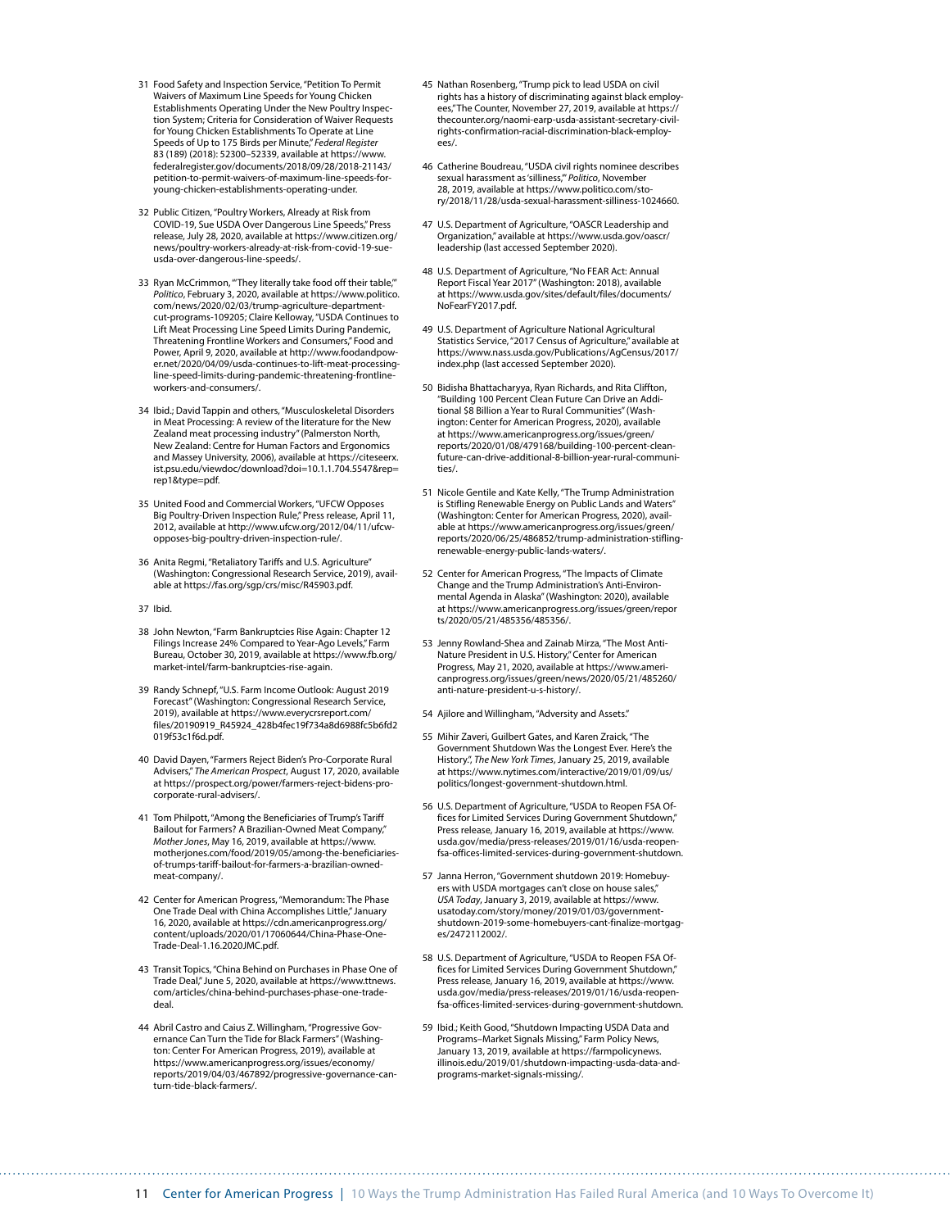- 31 Food Safety and Inspection Service, "Petition To Permit Waivers of Maximum Line Speeds for Young Chicken Establishments Operating Under the New Poultry Inspection System; Criteria for Consideration of Waiver Requests for Young Chicken Establishments To Operate at Line Speeds of Up to 175 Birds per Minute," *Federal Register* 83 (189) (2018): 52300–52339, available at [https://www.](https://www.federalregister.gov/documents/2018/09/28/2018-21143/petition-to-permit-waivers-of-maximum-line-speeds-for-young-chicken-establishments-operating-under) [federalregister.gov/documents/2018/09/28/2018-21143/](https://www.federalregister.gov/documents/2018/09/28/2018-21143/petition-to-permit-waivers-of-maximum-line-speeds-for-young-chicken-establishments-operating-under) [petition-to-permit-waivers-of-maximum-line-speeds-for](https://www.federalregister.gov/documents/2018/09/28/2018-21143/petition-to-permit-waivers-of-maximum-line-speeds-for-young-chicken-establishments-operating-under)[young-chicken-establishments-operating-under](https://www.federalregister.gov/documents/2018/09/28/2018-21143/petition-to-permit-waivers-of-maximum-line-speeds-for-young-chicken-establishments-operating-under).
- 32 Public Citizen, "Poultry Workers, Already at Risk from COVID-19, Sue USDA Over Dangerous Line Speeds," Press release, July 28, 2020, available at [https://www.citizen.org/](https://www.citizen.org/news/poultry-workers-already-at-risk-from-covid-19-sue-usda-over-dangerous-line-speeds/) [news/poultry-workers-already-at-risk-from-covid-19-sue](https://www.citizen.org/news/poultry-workers-already-at-risk-from-covid-19-sue-usda-over-dangerous-line-speeds/)[usda-over-dangerous-line-speeds/.](https://www.citizen.org/news/poultry-workers-already-at-risk-from-covid-19-sue-usda-over-dangerous-line-speeds/)
- 33 Ryan McCrimmon, "They literally take food off their table," *Politico*, February 3, 2020, available at [https://www.politico.](https://www.politico.com/news/2020/02/03/trump-agriculture-department-cut-programs-109205) [com/news/2020/02/03/trump-agriculture-department](https://www.politico.com/news/2020/02/03/trump-agriculture-department-cut-programs-109205)[cut-programs-109205;](https://www.politico.com/news/2020/02/03/trump-agriculture-department-cut-programs-109205) Claire Kelloway, "USDA Continues to Lift Meat Processing Line Speed Limits During Pandemic, Threatening Frontline Workers and Consumers," Food and Power, April 9, 2020, available at [http://www.foodandpow](http://www.foodandpower.net/2020/04/09/usda-continues-to-lift-meat-processing-line-speed-limits-during-pandemic-threatening-frontline-workers-and-consumers/)[er.net/2020/04/09/usda-continues-to-lift-meat-processing](http://www.foodandpower.net/2020/04/09/usda-continues-to-lift-meat-processing-line-speed-limits-during-pandemic-threatening-frontline-workers-and-consumers/)[line-speed-limits-during-pandemic-threatening-frontline](http://www.foodandpower.net/2020/04/09/usda-continues-to-lift-meat-processing-line-speed-limits-during-pandemic-threatening-frontline-workers-and-consumers/)[workers-and-consumers/.](http://www.foodandpower.net/2020/04/09/usda-continues-to-lift-meat-processing-line-speed-limits-during-pandemic-threatening-frontline-workers-and-consumers/)
- 34 Ibid.; David Tappin and others, "Musculoskeletal Disorders in Meat Processing: A review of the literature for the New Zealand meat processing industry" (Palmerston North, New Zealand: Centre for Human Factors and Ergonomics and Massey University, 2006), available at [https://citeseerx.](https://citeseerx.ist.psu.edu/viewdoc/download?doi=10.1.1.704.5547&rep=rep1&type=pdf) [ist.psu.edu/viewdoc/download?doi=10.1.1.704.5547&rep=](https://citeseerx.ist.psu.edu/viewdoc/download?doi=10.1.1.704.5547&rep=rep1&type=pdf) [rep1&type=pdf](https://citeseerx.ist.psu.edu/viewdoc/download?doi=10.1.1.704.5547&rep=rep1&type=pdf).
- 35 United Food and Commercial Workers, "UFCW Opposes Big Poultry-Driven Inspection Rule," Press release, April 11, 2012, available at [http://www.ufcw.org/2012/04/11/ufcw](http://www.ufcw.org/2012/04/11/ufcw-opposes-big-poultry-driven-inspection-rule/)[opposes-big-poultry-driven-inspection-rule/](http://www.ufcw.org/2012/04/11/ufcw-opposes-big-poultry-driven-inspection-rule/).
- 36 Anita Regmi, "Retaliatory Tariffs and U.S. Agriculture" (Washington: Congressional Research Service, 2019), available at <https://fas.org/sgp/crs/misc/R45903.pdf>.
- 37 Ibid.
- 38 John Newton, "Farm Bankruptcies Rise Again: Chapter 12 Filings Increase 24% Compared to Year-Ago Levels," Farm Bureau, October 30, 2019, available at [https://www.fb.org/](https://www.fb.org/market-intel/farm-bankruptcies-rise-again) [market-intel/farm-bankruptcies-rise-again](https://www.fb.org/market-intel/farm-bankruptcies-rise-again).
- 39 Randy Schnepf, "U.S. Farm Income Outlook: August 2019 Forecast" (Washington: Congressional Research Service, 2019), available at [https://www.everycrsreport.com/](https://www.everycrsreport.com/files/20190919_R45924_428b4fec19f734a8d6988fc5b6fd2019f53c1f6d.pdf) [files/20190919\\_R45924\\_428b4fec19f734a8d6988fc5b6fd2](https://www.everycrsreport.com/files/20190919_R45924_428b4fec19f734a8d6988fc5b6fd2019f53c1f6d.pdf) [019f53c1f6d.pdf](https://www.everycrsreport.com/files/20190919_R45924_428b4fec19f734a8d6988fc5b6fd2019f53c1f6d.pdf).
- 40 David Dayen, "Farmers Reject Biden's Pro-Corporate Rural Advisers," *The American Prospect*, August 17, 2020, available at [https://prospect.org/power/farmers-reject-bidens-pro](https://prospect.org/power/farmers-reject-bidens-pro-corporate-rural-advisers/)[corporate-rural-advisers/](https://prospect.org/power/farmers-reject-bidens-pro-corporate-rural-advisers/).
- 41 Tom Philpott, "Among the Beneficiaries of Trump's Tariff Bailout for Farmers? A Brazilian-Owned Meat Company," *Mother Jones*, May 16, 2019, available at [https://www.](https://www.motherjones.com/food/2019/05/among-the-beneficiaries-of-trumps-tariff-bailout-for-farmers-a-brazilian-owned-meat-company/) [motherjones.com/food/2019/05/among-the-beneficiaries](https://www.motherjones.com/food/2019/05/among-the-beneficiaries-of-trumps-tariff-bailout-for-farmers-a-brazilian-owned-meat-company/)[of-trumps-tariff-bailout-for-farmers-a-brazilian-owned](https://www.motherjones.com/food/2019/05/among-the-beneficiaries-of-trumps-tariff-bailout-for-farmers-a-brazilian-owned-meat-company/)[meat-company/.](https://www.motherjones.com/food/2019/05/among-the-beneficiaries-of-trumps-tariff-bailout-for-farmers-a-brazilian-owned-meat-company/)
- 42 Center for American Progress, "Memorandum: The Phase One Trade Deal with China Accomplishes Little," January 16, 2020, available at [https://cdn.americanprogress.org/](https://cdn.americanprogress.org/content/uploads/2020/01/17060644/China-Phase-One-Trade-Deal-1.16.2020JMC.pdf) [content/uploads/2020/01/17060644/China-Phase-One-](https://cdn.americanprogress.org/content/uploads/2020/01/17060644/China-Phase-One-Trade-Deal-1.16.2020JMC.pdf)[Trade-Deal-1.16.2020JMC.pdf](https://cdn.americanprogress.org/content/uploads/2020/01/17060644/China-Phase-One-Trade-Deal-1.16.2020JMC.pdf).
- 43 Transit Topics, "China Behind on Purchases in Phase One of Trade Deal," June 5, 2020, available at [https://www.ttnews.](https://www.ttnews.com/articles/china-behind-purchases-phase-one-trade-deal) [com/articles/china-behind-purchases-phase-one-trade](https://www.ttnews.com/articles/china-behind-purchases-phase-one-trade-deal)[deal.](https://www.ttnews.com/articles/china-behind-purchases-phase-one-trade-deal)
- 44 Abril Castro and Caius Z. Willingham, "Progressive Governance Can Turn the Tide for Black Farmers" (Washington: Center For American Progress, 2019), available at [https://www.americanprogress.org/issues/economy/](https://www.americanprogress.org/issues/economy/reports/2019/04/03/467892/progressive-governance-can-turn-tide-black-farmers/) [reports/2019/04/03/467892/progressive-governance-can](https://www.americanprogress.org/issues/economy/reports/2019/04/03/467892/progressive-governance-can-turn-tide-black-farmers/)[turn-tide-black-farmers/](https://www.americanprogress.org/issues/economy/reports/2019/04/03/467892/progressive-governance-can-turn-tide-black-farmers/).
- 45 Nathan Rosenberg, "Trump pick to lead USDA on civil rights has a history of discriminating against black employees," The Counter, November 27, 2019, available at [https://](https://thecounter.org/naomi-earp-usda-assistant-secretary-civil-rights-confirmation-racial-discrimination-black-employees/) [thecounter.org/naomi-earp-usda-assistant-secretary-civil](https://thecounter.org/naomi-earp-usda-assistant-secretary-civil-rights-confirmation-racial-discrimination-black-employees/)[rights-confirmation-racial-discrimination-black-employ](https://thecounter.org/naomi-earp-usda-assistant-secretary-civil-rights-confirmation-racial-discrimination-black-employees/)[ees/](https://thecounter.org/naomi-earp-usda-assistant-secretary-civil-rights-confirmation-racial-discrimination-black-employees/).
- 46 Catherine Boudreau, "USDA civil rights nominee describes sexual harassment as 'silliness,'" *Politico*, November 28, 2019, available at [https://www.politico.com/sto](https://www.politico.com/story/2018/11/28/usda-sexual-harassment-silliness-1024660)[ry/2018/11/28/usda-sexual-harassment-silliness-1024660](https://www.politico.com/story/2018/11/28/usda-sexual-harassment-silliness-1024660).
- 47 U.S. Department of Agriculture, "OASCR Leadership and Organization," available at [https://www.usda.gov/oascr/](https://www.usda.gov/oascr/leadership) [leadership](https://www.usda.gov/oascr/leadership) (last accessed September 2020).
- 48 U.S. Department of Agriculture, "No FEAR Act: Annual Report Fiscal Year 2017" (Washington: 2018), available at [https://www.usda.gov/sites/default/files/documents/](https://www.usda.gov/sites/default/files/documents/NoFearFY2017.pdf) [NoFearFY2017.pdf.](https://www.usda.gov/sites/default/files/documents/NoFearFY2017.pdf)
- 49 U.S. Department of Agriculture National Agricultural Statistics Service, "2017 Census of Agriculture," available at [https://www.nass.usda.gov/Publications/AgCensus/2017/](https://www.nass.usda.gov/Publications/AgCensus/2017/index.php) [index.php](https://www.nass.usda.gov/Publications/AgCensus/2017/index.php) (last accessed September 2020).
- 50 Bidisha Bhattacharyya, Ryan Richards, and Rita Cliffton, "Building 100 Percent Clean Future Can Drive an Additional \$8 Billion a Year to Rural Communities" (Washington: Center for American Progress, 2020), available at [https://www.americanprogress.org/issues/green/](https://www.americanprogress.org/issues/green/reports/2020/01/08/479168/building-100-percent-clean-future-can-drive-additional-8-billion-year-rural-communities/) [reports/2020/01/08/479168/building-100-percent-clean](https://www.americanprogress.org/issues/green/reports/2020/01/08/479168/building-100-percent-clean-future-can-drive-additional-8-billion-year-rural-communities/)[future-can-drive-additional-8-billion-year-rural-communi](https://www.americanprogress.org/issues/green/reports/2020/01/08/479168/building-100-percent-clean-future-can-drive-additional-8-billion-year-rural-communities/)[ties/.](https://www.americanprogress.org/issues/green/reports/2020/01/08/479168/building-100-percent-clean-future-can-drive-additional-8-billion-year-rural-communities/)
- 51 Nicole Gentile and Kate Kelly, "The Trump Administration is Stifling Renewable Energy on Public Lands and Waters" (Washington: Center for American Progress, 2020), available at [https://www.americanprogress.org/issues/green/](https://www.americanprogress.org/issues/green/reports/2020/06/25/486852/trump-administration-stifling-renewable-energy-public-lands-waters/) [reports/2020/06/25/486852/trump-administration-stifling](https://www.americanprogress.org/issues/green/reports/2020/06/25/486852/trump-administration-stifling-renewable-energy-public-lands-waters/)[renewable-energy-public-lands-waters/](https://www.americanprogress.org/issues/green/reports/2020/06/25/486852/trump-administration-stifling-renewable-energy-public-lands-waters/).
- 52 Center for American Progress, "The Impacts of Climate Change and the Trump Administration's Anti-Environmental Agenda in Alaska" (Washington: 2020), available at [https://www.americanprogress.org/issues/green/repor](https://www.americanprogress.org/issues/green/reports/2020/05/21/485356/485356/) [ts/2020/05/21/485356/485356/.](https://www.americanprogress.org/issues/green/reports/2020/05/21/485356/485356/)
- 53 Jenny Rowland-Shea and Zainab Mirza, "The Most Anti-Nature President in U.S. History," Center for American Progress, May 21, 2020, available at [https://www.ameri](https://www.americanprogress.org/issues/green/news/2020/05/21/485260/anti-nature-president-u-s-history/)[canprogress.org/issues/green/news/2020/05/21/485260/](https://www.americanprogress.org/issues/green/news/2020/05/21/485260/anti-nature-president-u-s-history/) [anti-nature-president-u-s-history/](https://www.americanprogress.org/issues/green/news/2020/05/21/485260/anti-nature-president-u-s-history/).
- 54 Ajilore and Willingham, "Adversity and Assets."
- 55 Mihir Zaveri, Guilbert Gates, and Karen Zraick, "The Government Shutdown Was the Longest Ever. Here's the History.", *The New York Times*, January 25, 2019, available at [https://www.nytimes.com/interactive/2019/01/09/us/](https://www.nytimes.com/interactive/2019/01/09/us/politics/longest-government-shutdown.html) [politics/longest-government-shutdown.html](https://www.nytimes.com/interactive/2019/01/09/us/politics/longest-government-shutdown.html).
- 56 U.S. Department of Agriculture, "USDA to Reopen FSA Offices for Limited Services During Government Shutdown," Press release, January 16, 2019, available at [https://www.](https://www.usda.gov/media/press-releases/2019/01/16/usda-reopen-fsa-offices-limited-services-during-government-shutdown) [usda.gov/media/press-releases/2019/01/16/usda-reopen](https://www.usda.gov/media/press-releases/2019/01/16/usda-reopen-fsa-offices-limited-services-during-government-shutdown)[fsa-offices-limited-services-during-government-shutdown](https://www.usda.gov/media/press-releases/2019/01/16/usda-reopen-fsa-offices-limited-services-during-government-shutdown).
- 57 Janna Herron, "Government shutdown 2019: Homebuyers with USDA mortgages can't close on house sales," *USA Today*, January 3, 2019, available at [https://www.](https://www.usatoday.com/story/money/2019/01/03/government-shutdown-2019-some-homebuyers-cant-finalize-mortgages/2472112002/) [usatoday.com/story/money/2019/01/03/government](https://www.usatoday.com/story/money/2019/01/03/government-shutdown-2019-some-homebuyers-cant-finalize-mortgages/2472112002/)[shutdown-2019-some-homebuyers-cant-finalize-mortgag](https://www.usatoday.com/story/money/2019/01/03/government-shutdown-2019-some-homebuyers-cant-finalize-mortgages/2472112002/)[es/2472112002/.](https://www.usatoday.com/story/money/2019/01/03/government-shutdown-2019-some-homebuyers-cant-finalize-mortgages/2472112002/)
- 58 U.S. Department of Agriculture, "USDA to Reopen FSA Offices for Limited Services During Government Shutdown," Press release, January 16, 2019, available at [https://www.](https://www.usda.gov/media/press-releases/2019/01/16/usda-reopen-fsa-offices-limited-services-during-government-shutdown) [usda.gov/media/press-releases/2019/01/16/usda-reopen](https://www.usda.gov/media/press-releases/2019/01/16/usda-reopen-fsa-offices-limited-services-during-government-shutdown)[fsa-offices-limited-services-during-government-shutdown](https://www.usda.gov/media/press-releases/2019/01/16/usda-reopen-fsa-offices-limited-services-during-government-shutdown).
- 59 [Ibid.;](https://www.usda.gov/media/press-releases/2019/01/16/usda-reopen-fsa-offices-limited-services-during-government-shutdown) Keith Good, "Shutdown Impacting USDA Data and Programs–Market Signals Missing," Farm Policy News, January 13, 2019, available at [https://farmpolicynews.](https://farmpolicynews.illinois.edu/2019/01/shutdown-impacting-usda-data-and-programs-market-signals-missing/) [illinois.edu/2019/01/shutdown-impacting-usda-data-and](https://farmpolicynews.illinois.edu/2019/01/shutdown-impacting-usda-data-and-programs-market-signals-missing/)[programs-market-signals-missing/.](https://farmpolicynews.illinois.edu/2019/01/shutdown-impacting-usda-data-and-programs-market-signals-missing/)